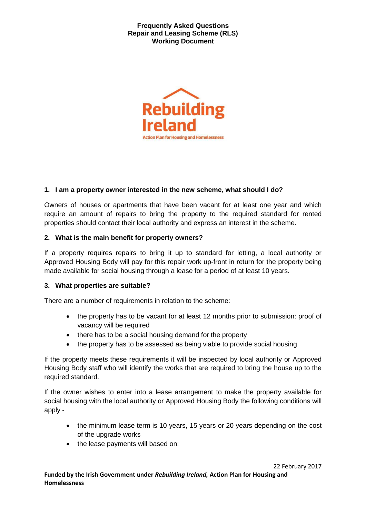

## **1. I am a property owner interested in the new scheme, what should I do?**

Owners of houses or apartments that have been vacant for at least one year and which require an amount of repairs to bring the property to the required standard for rented properties should contact their local authority and express an interest in the scheme.

## **2. What is the main benefit for property owners?**

If a property requires repairs to bring it up to standard for letting, a local authority or Approved Housing Body will pay for this repair work up-front in return for the property being made available for social housing through a lease for a period of at least 10 years.

## **3. What properties are suitable?**

There are a number of requirements in relation to the scheme:

- the property has to be vacant for at least 12 months prior to submission: proof of vacancy will be required
- there has to be a social housing demand for the property
- the property has to be assessed as being viable to provide social housing

If the property meets these requirements it will be inspected by local authority or Approved Housing Body staff who will identify the works that are required to bring the house up to the required standard.

If the owner wishes to enter into a lease arrangement to make the property available for social housing with the local authority or Approved Housing Body the following conditions will apply -

- the minimum lease term is 10 years, 15 years or 20 years depending on the cost of the upgrade works
- the lease payments will based on:

22 February 2017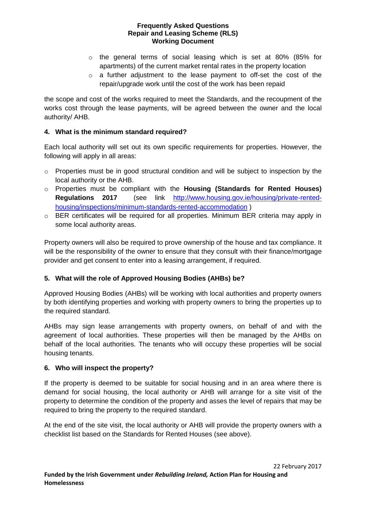- o the general terms of social leasing which is set at 80% (85% for apartments) of the current market rental rates in the property location
- o a further adjustment to the lease payment to off-set the cost of the repair/upgrade work until the cost of the work has been repaid

the scope and cost of the works required to meet the Standards, and the recoupment of the works cost through the lease payments, will be agreed between the owner and the local authority/ AHB.

## **4. What is the minimum standard required?**

Each local authority will set out its own specific requirements for properties. However, the following will apply in all areas:

- o Properties must be in good structural condition and will be subject to inspection by the local authority or the AHB.
- o Properties must be compliant with the **Housing (Standards for Rented Houses) Regulations 2017** (see link [http://www.housing.gov.ie/housing/private-rented](http://www.housing.gov.ie/housing/private-rented-housing/inspections/minimum-standards-rented-accommodation)[housing/inspections/minimum-standards-rented-accommodation](http://www.housing.gov.ie/housing/private-rented-housing/inspections/minimum-standards-rented-accommodation) )
- $\circ$  BER certificates will be required for all properties. Minimum BER criteria may apply in some local authority areas.

Property owners will also be required to prove ownership of the house and tax compliance. It will be the responsibility of the owner to ensure that they consult with their finance/mortgage provider and get consent to enter into a leasing arrangement, if required.

# **5. What will the role of Approved Housing Bodies (AHBs) be?**

Approved Housing Bodies (AHBs) will be working with local authorities and property owners by both identifying properties and working with property owners to bring the properties up to the required standard.

AHBs may sign lease arrangements with property owners, on behalf of and with the agreement of local authorities. These properties will then be managed by the AHBs on behalf of the local authorities. The tenants who will occupy these properties will be social housing tenants.

## **6. Who will inspect the property?**

If the property is deemed to be suitable for social housing and in an area where there is demand for social housing, the local authority or AHB will arrange for a site visit of the property to determine the condition of the property and asses the level of repairs that may be required to bring the property to the required standard.

At the end of the site visit, the local authority or AHB will provide the property owners with a checklist list based on the Standards for Rented Houses (see above).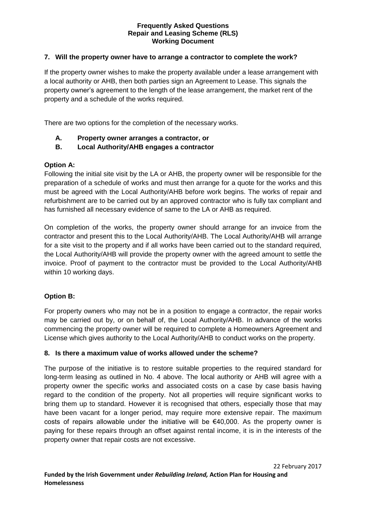## **7. Will the property owner have to arrange a contractor to complete the work?**

If the property owner wishes to make the property available under a lease arrangement with a local authority or AHB, then both parties sign an Agreement to Lease. This signals the property owner's agreement to the length of the lease arrangement, the market rent of the property and a schedule of the works required.

There are two options for the completion of the necessary works.

- **A. Property owner arranges a contractor, or**
- **B. Local Authority/AHB engages a contractor**

## **Option A:**

Following the initial site visit by the LA or AHB, the property owner will be responsible for the preparation of a schedule of works and must then arrange for a quote for the works and this must be agreed with the Local Authority/AHB before work begins. The works of repair and refurbishment are to be carried out by an approved contractor who is fully tax compliant and has furnished all necessary evidence of same to the LA or AHB as required.

On completion of the works, the property owner should arrange for an invoice from the contractor and present this to the Local Authority/AHB. The Local Authority/AHB will arrange for a site visit to the property and if all works have been carried out to the standard required, the Local Authority/AHB will provide the property owner with the agreed amount to settle the invoice. Proof of payment to the contractor must be provided to the Local Authority/AHB within 10 working days.

# **Option B:**

For property owners who may not be in a position to engage a contractor, the repair works may be carried out by, or on behalf of, the Local Authority/AHB. In advance of the works commencing the property owner will be required to complete a Homeowners Agreement and License which gives authority to the Local Authority/AHB to conduct works on the property.

## **8. Is there a maximum value of works allowed under the scheme?**

The purpose of the initiative is to restore suitable properties to the required standard for long-term leasing as outlined in No. 4 above. The local authority or AHB will agree with a property owner the specific works and associated costs on a case by case basis having regard to the condition of the property. Not all properties will require significant works to bring them up to standard. However it is recognised that others, especially those that may have been vacant for a longer period, may require more extensive repair. The maximum costs of repairs allowable under the initiative will be €40,000. As the property owner is paying for these repairs through an offset against rental income, it is in the interests of the property owner that repair costs are not excessive.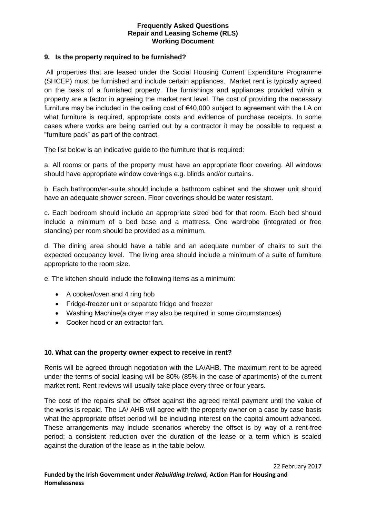## **9. Is the property required to be furnished?**

All properties that are leased under the Social Housing Current Expenditure Programme (SHCEP) must be furnished and include certain appliances. Market rent is typically agreed on the basis of a furnished property. The furnishings and appliances provided within a property are a factor in agreeing the market rent level. The cost of providing the necessary furniture may be included in the ceiling cost of  $€40,000$  subject to agreement with the LA on what furniture is required, appropriate costs and evidence of purchase receipts. In some cases where works are being carried out by a contractor it may be possible to request a "furniture pack" as part of the contract.

The list below is an indicative guide to the furniture that is required:

a. All rooms or parts of the property must have an appropriate floor covering. All windows should have appropriate window coverings e.g. blinds and/or curtains.

b. Each bathroom/en-suite should include a bathroom cabinet and the shower unit should have an adequate shower screen. Floor coverings should be water resistant.

c. Each bedroom should include an appropriate sized bed for that room. Each bed should include a minimum of a bed base and a mattress. One wardrobe (integrated or free standing) per room should be provided as a minimum.

d. The dining area should have a table and an adequate number of chairs to suit the expected occupancy level. The living area should include a minimum of a suite of furniture appropriate to the room size.

e. The kitchen should include the following items as a minimum:

- A cooker/oven and 4 ring hob
- Fridge-freezer unit or separate fridge and freezer
- Washing Machine(a dryer may also be required in some circumstances)
- Cooker hood or an extractor fan.

## **10. What can the property owner expect to receive in rent?**

Rents will be agreed through negotiation with the LA/AHB. The maximum rent to be agreed under the terms of social leasing will be 80% (85% in the case of apartments) of the current market rent. Rent reviews will usually take place every three or four years.

The cost of the repairs shall be offset against the agreed rental payment until the value of the works is repaid. The LA/ AHB will agree with the property owner on a case by case basis what the appropriate offset period will be including interest on the capital amount advanced. These arrangements may include scenarios whereby the offset is by way of a rent-free period; a consistent reduction over the duration of the lease or a term which is scaled against the duration of the lease as in the table below.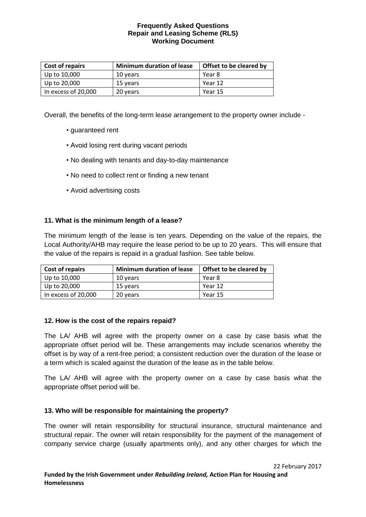| <b>Cost of repairs</b> | <b>Minimum duration of lease</b> | Offset to be cleared by |
|------------------------|----------------------------------|-------------------------|
| Up to 10,000           | 10 years                         | Year 8                  |
| Up to 20,000           | 15 years                         | Year 12                 |
| In excess of 20,000    | 20 years                         | Year 15                 |

Overall, the benefits of the long-term lease arrangement to the property owner include -

- guaranteed rent
- Avoid losing rent during vacant periods
- No dealing with tenants and day-to-day maintenance
- No need to collect rent or finding a new tenant
- Avoid advertising costs

## **11. What is the minimum length of a lease?**

The minimum length of the lease is ten years. Depending on the value of the repairs, the Local Authority/AHB may require the lease period to be up to 20 years. This will ensure that the value of the repairs is repaid in a gradual fashion. See table below.

| <b>Cost of repairs</b> | <b>Minimum duration of lease</b> | Offset to be cleared by |
|------------------------|----------------------------------|-------------------------|
| Up to 10,000           | 10 years                         | Year 8                  |
| Up to 20,000           | 15 years                         | Year 12                 |
| In excess of 20,000    | 20 years                         | Year 15                 |

## **12. How is the cost of the repairs repaid?**

The LA/ AHB will agree with the property owner on a case by case basis what the appropriate offset period will be. These arrangements may include scenarios whereby the offset is by way of a rent-free period; a consistent reduction over the duration of the lease or a term which is scaled against the duration of the lease as in the table below.

The LA/ AHB will agree with the property owner on a case by case basis what the appropriate offset period will be.

# **13. Who will be responsible for maintaining the property?**

The owner will retain responsibility for structural insurance, structural maintenance and structural repair. The owner will retain responsibility for the payment of the management of company service charge (usually apartments only), and any other charges for which the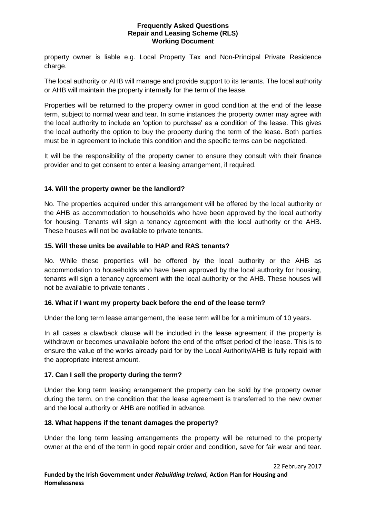property owner is liable e.g. Local Property Tax and Non-Principal Private Residence charge.

The local authority or AHB will manage and provide support to its tenants. The local authority or AHB will maintain the property internally for the term of the lease.

Properties will be returned to the property owner in good condition at the end of the lease term, subject to normal wear and tear. In some instances the property owner may agree with the local authority to include an 'option to purchase' as a condition of the lease. This gives the local authority the option to buy the property during the term of the lease. Both parties must be in agreement to include this condition and the specific terms can be negotiated.

It will be the responsibility of the property owner to ensure they consult with their finance provider and to get consent to enter a leasing arrangement, if required.

# **14. Will the property owner be the landlord?**

No. The properties acquired under this arrangement will be offered by the local authority or the AHB as accommodation to households who have been approved by the local authority for housing. Tenants will sign a tenancy agreement with the local authority or the AHB. These houses will not be available to private tenants.

## **15. Will these units be available to HAP and RAS tenants?**

No. While these properties will be offered by the local authority or the AHB as accommodation to households who have been approved by the local authority for housing, tenants will sign a tenancy agreement with the local authority or the AHB. These houses will not be available to private tenants .

## **16. What if I want my property back before the end of the lease term?**

Under the long term lease arrangement, the lease term will be for a minimum of 10 years.

In all cases a clawback clause will be included in the lease agreement if the property is withdrawn or becomes unavailable before the end of the offset period of the lease. This is to ensure the value of the works already paid for by the Local Authority/AHB is fully repaid with the appropriate interest amount.

## **17. Can I sell the property during the term?**

Under the long term leasing arrangement the property can be sold by the property owner during the term, on the condition that the lease agreement is transferred to the new owner and the local authority or AHB are notified in advance.

## **18. What happens if the tenant damages the property?**

Under the long term leasing arrangements the property will be returned to the property owner at the end of the term in good repair order and condition, save for fair wear and tear.